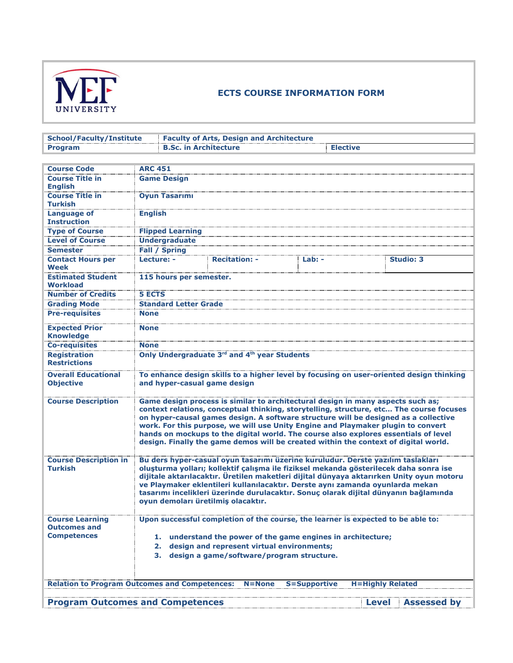

## **ECTS COURSE INFORMATION FORM**

| <b>School/Faculty/Institute</b>                      | <b>Faculty of Arts, Design and Architecture</b>                                                                                                                                                                                                                                                                                                                                                                                                                                     |                                                                                                                                                                     |                     |                                                                                                                                                                                                                                                                                                                                                              |  |  |  |
|------------------------------------------------------|-------------------------------------------------------------------------------------------------------------------------------------------------------------------------------------------------------------------------------------------------------------------------------------------------------------------------------------------------------------------------------------------------------------------------------------------------------------------------------------|---------------------------------------------------------------------------------------------------------------------------------------------------------------------|---------------------|--------------------------------------------------------------------------------------------------------------------------------------------------------------------------------------------------------------------------------------------------------------------------------------------------------------------------------------------------------------|--|--|--|
| <b>Program</b>                                       |                                                                                                                                                                                                                                                                                                                                                                                                                                                                                     | <b>B.Sc. in Architecture</b><br><b>Elective</b>                                                                                                                     |                     |                                                                                                                                                                                                                                                                                                                                                              |  |  |  |
|                                                      |                                                                                                                                                                                                                                                                                                                                                                                                                                                                                     |                                                                                                                                                                     |                     |                                                                                                                                                                                                                                                                                                                                                              |  |  |  |
| <b>Course Code</b>                                   | <b>ARC 451</b>                                                                                                                                                                                                                                                                                                                                                                                                                                                                      |                                                                                                                                                                     |                     |                                                                                                                                                                                                                                                                                                                                                              |  |  |  |
| <b>Course Title in</b><br><b>English</b>             | <b>Game Design</b>                                                                                                                                                                                                                                                                                                                                                                                                                                                                  |                                                                                                                                                                     |                     |                                                                                                                                                                                                                                                                                                                                                              |  |  |  |
| <b>Course Title in</b><br><b>Turkish</b>             | <b>Oyun Tasarımı</b>                                                                                                                                                                                                                                                                                                                                                                                                                                                                |                                                                                                                                                                     |                     |                                                                                                                                                                                                                                                                                                                                                              |  |  |  |
| <b>Language of</b><br><b>Instruction</b>             | <b>English</b>                                                                                                                                                                                                                                                                                                                                                                                                                                                                      |                                                                                                                                                                     |                     |                                                                                                                                                                                                                                                                                                                                                              |  |  |  |
| <b>Type of Course</b>                                | <b>Flipped Learning</b>                                                                                                                                                                                                                                                                                                                                                                                                                                                             |                                                                                                                                                                     |                     |                                                                                                                                                                                                                                                                                                                                                              |  |  |  |
| <b>Level of Course</b>                               | <b>Undergraduate</b>                                                                                                                                                                                                                                                                                                                                                                                                                                                                |                                                                                                                                                                     |                     |                                                                                                                                                                                                                                                                                                                                                              |  |  |  |
| <b>Semester</b>                                      | <b>Fall / Spring</b>                                                                                                                                                                                                                                                                                                                                                                                                                                                                |                                                                                                                                                                     |                     |                                                                                                                                                                                                                                                                                                                                                              |  |  |  |
| <b>Contact Hours per</b><br>Week                     | Lecture: -                                                                                                                                                                                                                                                                                                                                                                                                                                                                          | <b>Recitation:</b>                                                                                                                                                  | Lab: -              | <b>Studio: 3</b>                                                                                                                                                                                                                                                                                                                                             |  |  |  |
| <b>Estimated Student</b><br>Workload                 | 115 hours per semester.                                                                                                                                                                                                                                                                                                                                                                                                                                                             |                                                                                                                                                                     |                     |                                                                                                                                                                                                                                                                                                                                                              |  |  |  |
| <b>Number of Credits</b>                             | <b>5 ECTS</b>                                                                                                                                                                                                                                                                                                                                                                                                                                                                       |                                                                                                                                                                     |                     |                                                                                                                                                                                                                                                                                                                                                              |  |  |  |
| <b>Grading Mode</b>                                  | <b>Standard Letter Grade</b>                                                                                                                                                                                                                                                                                                                                                                                                                                                        |                                                                                                                                                                     |                     |                                                                                                                                                                                                                                                                                                                                                              |  |  |  |
| <b>Pre-requisites</b>                                | <b>None</b>                                                                                                                                                                                                                                                                                                                                                                                                                                                                         |                                                                                                                                                                     |                     |                                                                                                                                                                                                                                                                                                                                                              |  |  |  |
| <b>Expected Prior</b><br><b>Knowledge</b>            | <b>None</b>                                                                                                                                                                                                                                                                                                                                                                                                                                                                         |                                                                                                                                                                     |                     |                                                                                                                                                                                                                                                                                                                                                              |  |  |  |
| <b>Co-requisites</b>                                 | <b>None</b>                                                                                                                                                                                                                                                                                                                                                                                                                                                                         |                                                                                                                                                                     |                     |                                                                                                                                                                                                                                                                                                                                                              |  |  |  |
| <b>Registration</b><br><b>Restrictions</b>           | Only Undergraduate 3rd and 4th year Students                                                                                                                                                                                                                                                                                                                                                                                                                                        |                                                                                                                                                                     |                     |                                                                                                                                                                                                                                                                                                                                                              |  |  |  |
| <b>Overall Educational</b><br><b>Objective</b>       | To enhance design skills to a higher level by focusing on user-oriented design thinking<br>and hyper-casual game design                                                                                                                                                                                                                                                                                                                                                             |                                                                                                                                                                     |                     |                                                                                                                                                                                                                                                                                                                                                              |  |  |  |
| <b>Course Description</b>                            |                                                                                                                                                                                                                                                                                                                                                                                                                                                                                     | Game design process is similar to architectural design in many aspects such as;<br>work. For this purpose, we will use Unity Engine and Playmaker plugin to convert |                     | context relations, conceptual thinking, storytelling, structure, etc The course focuses<br>on hyper-causal games design. A software structure will be designed as a collective<br>hands on mockups to the digital world. The course also explores essentials of level<br>design. Finally the game demos will be created within the context of digital world. |  |  |  |
| <b>Course Description in</b><br><b>Turkish</b>       | Bu ders hyper-casual oyun tasarımı üzerine kuruludur. Derste yazılım taslakları<br>oluşturma yolları; kollektif çalışma ile fiziksel mekanda gösterilecek daha sonra ise<br>dijitale aktarılacaktır. Üretilen maketleri dijital dünyaya aktarırken Unity oyun motoru<br>ve Playmaker eklentileri kullanılacaktır. Derste aynı zamanda oyunlarda mekan<br>tasarımı incelikleri üzerinde durulacaktır. Sonuç olarak dijital dünyanın bağlamında<br>oyun demoları üretilmiş olacaktır. |                                                                                                                                                                     |                     |                                                                                                                                                                                                                                                                                                                                                              |  |  |  |
| <b>Course Learning</b><br><b>Outcomes and</b>        |                                                                                                                                                                                                                                                                                                                                                                                                                                                                                     | Upon successful completion of the course, the learner is expected to be able to:                                                                                    |                     |                                                                                                                                                                                                                                                                                                                                                              |  |  |  |
| <b>Competences</b>                                   |                                                                                                                                                                                                                                                                                                                                                                                                                                                                                     | 1. understand the power of the game engines in architecture;                                                                                                        |                     |                                                                                                                                                                                                                                                                                                                                                              |  |  |  |
|                                                      | design and represent virtual environments;<br>2.<br>design a game/software/program structure.<br>3.                                                                                                                                                                                                                                                                                                                                                                                 |                                                                                                                                                                     |                     |                                                                                                                                                                                                                                                                                                                                                              |  |  |  |
|                                                      |                                                                                                                                                                                                                                                                                                                                                                                                                                                                                     |                                                                                                                                                                     |                     |                                                                                                                                                                                                                                                                                                                                                              |  |  |  |
| <b>Relation to Program Outcomes and Competences:</b> |                                                                                                                                                                                                                                                                                                                                                                                                                                                                                     | $N = None$                                                                                                                                                          | <b>S=Supportive</b> | <b>H=Highly Related</b>                                                                                                                                                                                                                                                                                                                                      |  |  |  |
|                                                      |                                                                                                                                                                                                                                                                                                                                                                                                                                                                                     |                                                                                                                                                                     |                     |                                                                                                                                                                                                                                                                                                                                                              |  |  |  |
| <b>Program Outcomes and Competences</b>              |                                                                                                                                                                                                                                                                                                                                                                                                                                                                                     |                                                                                                                                                                     |                     | <b>Level</b> Assessed by                                                                                                                                                                                                                                                                                                                                     |  |  |  |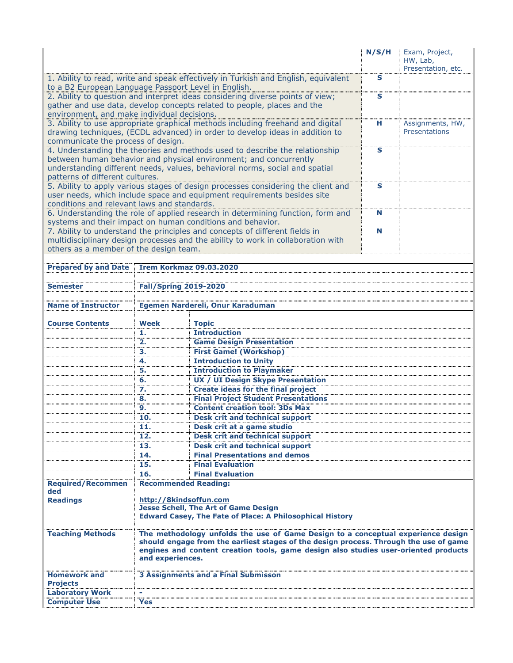|                                                      |                                |                                                                                                                                                                                                                                                                  | N/S/H                   | Exam, Project,<br>HW, Lab,<br>Presentation, etc. |
|------------------------------------------------------|--------------------------------|------------------------------------------------------------------------------------------------------------------------------------------------------------------------------------------------------------------------------------------------------------------|-------------------------|--------------------------------------------------|
| to a B2 European Language Passport Level in English. |                                | 1. Ability to read, write and speak effectively in Turkish and English, equivalent                                                                                                                                                                               | s                       |                                                  |
|                                                      |                                | 2. Ability to question and interpret ideas considering diverse points of view;<br>gather and use data, develop concepts related to people, places and the                                                                                                        | $\mathbf{s}$            |                                                  |
| environment, and make individual decisions.          |                                |                                                                                                                                                                                                                                                                  |                         |                                                  |
| communicate the process of design.                   |                                | 3. Ability to use appropriate graphical methods including freehand and digital<br>drawing techniques, (ECDL advanced) in order to develop ideas in addition to                                                                                                   | н                       | Assignments, HW,<br>Presentations                |
|                                                      |                                | 4. Understanding the theories and methods used to describe the relationship<br>between human behavior and physical environment; and concurrently                                                                                                                 | S                       |                                                  |
|                                                      |                                | understanding different needs, values, behavioral norms, social and spatial                                                                                                                                                                                      |                         |                                                  |
| patterns of different cultures.                      |                                |                                                                                                                                                                                                                                                                  |                         |                                                  |
|                                                      |                                | 5. Ability to apply various stages of design processes considering the client and                                                                                                                                                                                | $\overline{\mathbf{s}}$ |                                                  |
| conditions and relevant laws and standards.          |                                | user needs, which include space and equipment requirements besides site                                                                                                                                                                                          |                         |                                                  |
|                                                      |                                | 6. Understanding the role of applied research in determining function, form and                                                                                                                                                                                  | N                       |                                                  |
|                                                      |                                | systems and their impact on human conditions and behavior.                                                                                                                                                                                                       | N                       |                                                  |
|                                                      |                                | 7. Ability to understand the principles and concepts of different fields in<br>multidisciplinary design processes and the ability to work in collaboration with                                                                                                  |                         |                                                  |
| others as a member of the design team.               |                                |                                                                                                                                                                                                                                                                  |                         |                                                  |
|                                                      |                                |                                                                                                                                                                                                                                                                  |                         |                                                  |
| <b>Prepared by and Date</b>                          | <b>Irem Korkmaz 09.03.2020</b> |                                                                                                                                                                                                                                                                  |                         |                                                  |
|                                                      |                                |                                                                                                                                                                                                                                                                  |                         |                                                  |
| <b>Semester</b>                                      | <b>Fall/Spring 2019-2020</b>   |                                                                                                                                                                                                                                                                  |                         |                                                  |
| <b>Name of Instructor</b>                            |                                | Egemen Nardereli, Onur Karaduman                                                                                                                                                                                                                                 |                         |                                                  |
|                                                      |                                |                                                                                                                                                                                                                                                                  |                         |                                                  |
| <b>Course Contents</b>                               | Week                           | <b>Topic</b>                                                                                                                                                                                                                                                     |                         |                                                  |
|                                                      | ı.                             | <b>Introduction</b>                                                                                                                                                                                                                                              |                         |                                                  |
|                                                      | 2.                             | <b>Game Design Presentation</b>                                                                                                                                                                                                                                  |                         |                                                  |
|                                                      | з.                             | <b>First Game! (Workshop)</b>                                                                                                                                                                                                                                    |                         |                                                  |
|                                                      | 4.<br>5.                       | <b>Introduction to Unity</b><br><b>Introduction to Playmaker</b>                                                                                                                                                                                                 |                         |                                                  |
|                                                      | 6.                             | <b>UX / UI Design Skype Presentation</b>                                                                                                                                                                                                                         |                         |                                                  |
|                                                      | 7.                             | <b>Create ideas for the final project</b>                                                                                                                                                                                                                        |                         |                                                  |
|                                                      | 8.                             | <b>Final Project Student Presentations</b>                                                                                                                                                                                                                       |                         |                                                  |
|                                                      | 9.                             | <b>Content creation tool: 3Ds Max</b>                                                                                                                                                                                                                            |                         |                                                  |
|                                                      | 10.                            | <b>Desk crit and technical support</b>                                                                                                                                                                                                                           |                         |                                                  |
|                                                      | 11.                            | Desk crit at a game studio                                                                                                                                                                                                                                       |                         |                                                  |
|                                                      | 12.                            | <b>Desk crit and technical support</b>                                                                                                                                                                                                                           |                         |                                                  |
|                                                      | 13.                            | <b>Desk crit and technical support</b>                                                                                                                                                                                                                           |                         |                                                  |
|                                                      | 14.<br>15.                     | <b>Final Presentations and demos</b><br><b>Final Evaluation</b>                                                                                                                                                                                                  |                         |                                                  |
|                                                      | 16.                            | <b>Final Evaluation</b>                                                                                                                                                                                                                                          |                         |                                                  |
| <b>Required/Recommen</b><br>ded                      | <b>Recommended Reading:</b>    |                                                                                                                                                                                                                                                                  |                         |                                                  |
| <b>Readings</b>                                      | http://8kindsoffun.com         | <b>Jesse Schell, The Art of Game Design</b><br><b>Edward Casey, The Fate of Place: A Philosophical History</b>                                                                                                                                                   |                         |                                                  |
| <b>Teaching Methods</b>                              | and experiences.               | The methodology unfolds the use of Game Design to a conceptual experience design<br>should engage from the earliest stages of the design process. Through the use of game<br>engines and content creation tools, game design also studies user-oriented products |                         |                                                  |
| <b>Homework and</b>                                  |                                |                                                                                                                                                                                                                                                                  |                         |                                                  |
| <b>Projects</b>                                      |                                | 3 Assignments and a Final Submissor                                                                                                                                                                                                                              |                         |                                                  |
| <b>Laboratory Work</b>                               |                                |                                                                                                                                                                                                                                                                  |                         |                                                  |
| <b>Computer Use</b>                                  | Yes                            |                                                                                                                                                                                                                                                                  |                         |                                                  |